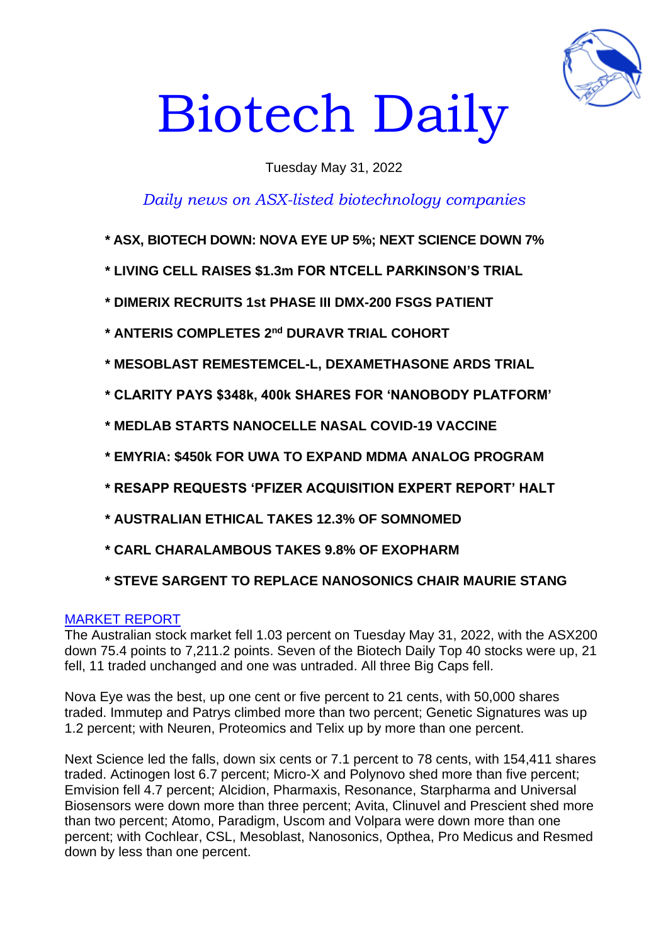

# Biotech Daily

# Tuesday May 31, 2022

# *Daily news on ASX-listed biotechnology companies*

- **\* ASX, BIOTECH DOWN: NOVA EYE UP 5%; NEXT SCIENCE DOWN 7%**
- **\* LIVING CELL RAISES \$1.3m FOR NTCELL PARKINSON'S TRIAL**
- **\* DIMERIX RECRUITS 1st PHASE III DMX-200 FSGS PATIENT**
- **\* ANTERIS COMPLETES 2 nd DURAVR TRIAL COHORT**
- **\* MESOBLAST REMESTEMCEL-L, DEXAMETHASONE ARDS TRIAL**
- **\* CLARITY PAYS \$348k, 400k SHARES FOR 'NANOBODY PLATFORM'**
- **\* MEDLAB STARTS NANOCELLE NASAL COVID-19 VACCINE**
- **\* EMYRIA: \$450k FOR UWA TO EXPAND MDMA ANALOG PROGRAM**
- **\* RESAPP REQUESTS 'PFIZER ACQUISITION EXPERT REPORT' HALT**
- **\* AUSTRALIAN ETHICAL TAKES 12.3% OF SOMNOMED**
- **\* CARL CHARALAMBOUS TAKES 9.8% OF EXOPHARM**
- **\* STEVE SARGENT TO REPLACE NANOSONICS CHAIR MAURIE STANG**

## MARKET REPORT

The Australian stock market fell 1.03 percent on Tuesday May 31, 2022, with the ASX200 down 75.4 points to 7,211.2 points. Seven of the Biotech Daily Top 40 stocks were up, 21 fell, 11 traded unchanged and one was untraded. All three Big Caps fell.

Nova Eye was the best, up one cent or five percent to 21 cents, with 50,000 shares traded. Immutep and Patrys climbed more than two percent; Genetic Signatures was up 1.2 percent; with Neuren, Proteomics and Telix up by more than one percent.

Next Science led the falls, down six cents or 7.1 percent to 78 cents, with 154,411 shares traded. Actinogen lost 6.7 percent; Micro-X and Polynovo shed more than five percent; Emvision fell 4.7 percent; Alcidion, Pharmaxis, Resonance, Starpharma and Universal Biosensors were down more than three percent; Avita, Clinuvel and Prescient shed more than two percent; Atomo, Paradigm, Uscom and Volpara were down more than one percent; with Cochlear, CSL, Mesoblast, Nanosonics, Opthea, Pro Medicus and Resmed down by less than one percent.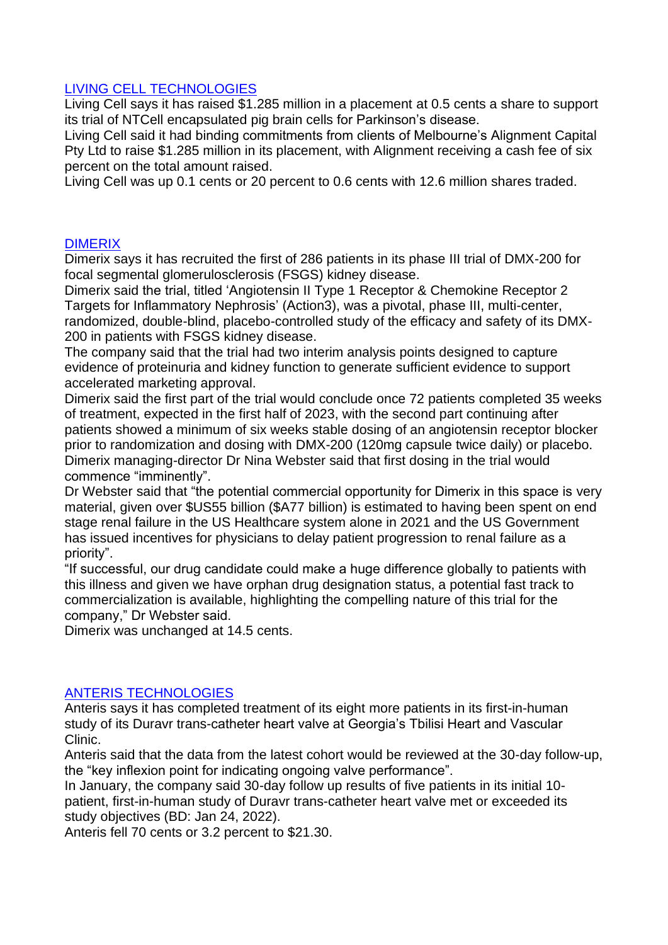# LIVING CELL TECHNOLOGIES

Living Cell says it has raised \$1.285 million in a placement at 0.5 cents a share to support its trial of NTCell encapsulated pig brain cells for Parkinson's disease.

Living Cell said it had binding commitments from clients of Melbourne's Alignment Capital Pty Ltd to raise \$1.285 million in its placement, with Alignment receiving a cash fee of six percent on the total amount raised.

Living Cell was up 0.1 cents or 20 percent to 0.6 cents with 12.6 million shares traded.

# DIMERIX

Dimerix says it has recruited the first of 286 patients in its phase III trial of DMX-200 for focal segmental glomerulosclerosis (FSGS) kidney disease.

Dimerix said the trial, titled 'Angiotensin II Type 1 Receptor & Chemokine Receptor 2 Targets for Inflammatory Nephrosis' (Action3), was a pivotal, phase III, multi-center, randomized, double-blind, placebo-controlled study of the efficacy and safety of its DMX-200 in patients with FSGS kidney disease.

The company said that the trial had two interim analysis points designed to capture evidence of proteinuria and kidney function to generate sufficient evidence to support accelerated marketing approval.

Dimerix said the first part of the trial would conclude once 72 patients completed 35 weeks of treatment, expected in the first half of 2023, with the second part continuing after patients showed a minimum of six weeks stable dosing of an angiotensin receptor blocker prior to randomization and dosing with DMX-200 (120mg capsule twice daily) or placebo. Dimerix managing-director Dr Nina Webster said that first dosing in the trial would commence "imminently".

Dr Webster said that "the potential commercial opportunity for Dimerix in this space is very material, given over \$US55 billion (\$A77 billion) is estimated to having been spent on end stage renal failure in the US Healthcare system alone in 2021 and the US Government has issued incentives for physicians to delay patient progression to renal failure as a priority".

"If successful, our drug candidate could make a huge difference globally to patients with this illness and given we have orphan drug designation status, a potential fast track to commercialization is available, highlighting the compelling nature of this trial for the company," Dr Webster said.

Dimerix was unchanged at 14.5 cents.

## ANTERIS TECHNOLOGIES

Anteris says it has completed treatment of its eight more patients in its first-in-human study of its Duravr trans-catheter heart valve at Georgia's Tbilisi Heart and Vascular Clinic.

Anteris said that the data from the latest cohort would be reviewed at the 30-day follow-up, the "key inflexion point for indicating ongoing valve performance".

In January, the company said 30-day follow up results of five patients in its initial 10 patient, first-in-human study of Duravr trans-catheter heart valve met or exceeded its study objectives (BD: Jan 24, 2022).

Anteris fell 70 cents or 3.2 percent to \$21.30.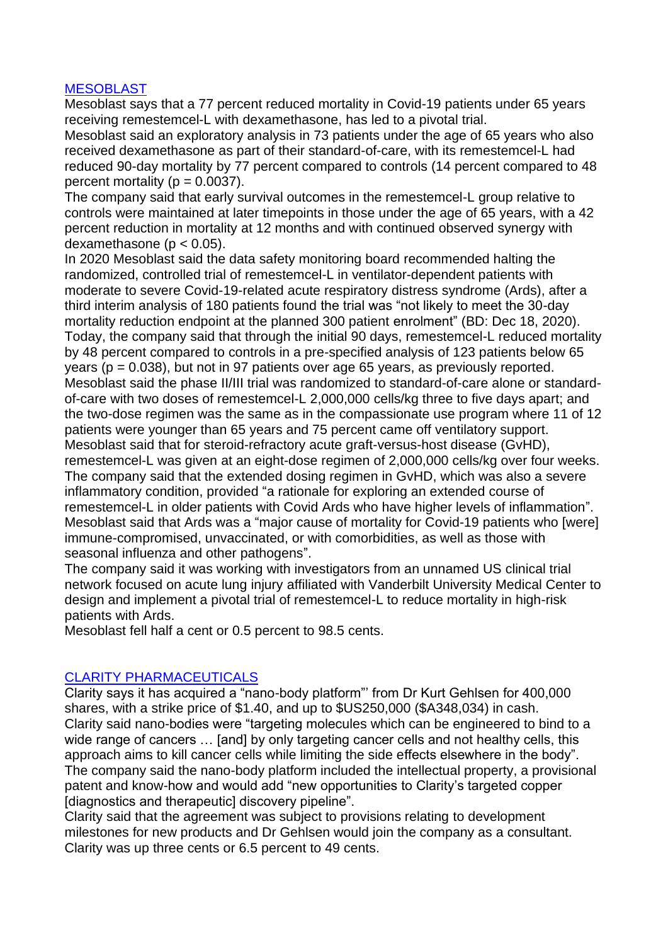# **MESOBLAST**

Mesoblast says that a 77 percent reduced mortality in Covid-19 patients under 65 years receiving remestemcel-L with dexamethasone, has led to a pivotal trial.

Mesoblast said an exploratory analysis in 73 patients under the age of 65 years who also received dexamethasone as part of their standard-of-care, with its remestemcel-L had reduced 90-day mortality by 77 percent compared to controls (14 percent compared to 48 percent mortality ( $p = 0.0037$ ).

The company said that early survival outcomes in the remestemcel-L group relative to controls were maintained at later timepoints in those under the age of 65 years, with a 42 percent reduction in mortality at 12 months and with continued observed synergy with dexamethasone ( $p < 0.05$ ).

In 2020 Mesoblast said the data safety monitoring board recommended halting the randomized, controlled trial of remestemcel-L in ventilator-dependent patients with moderate to severe Covid-19-related acute respiratory distress syndrome (Ards), after a third interim analysis of 180 patients found the trial was "not likely to meet the 30-day mortality reduction endpoint at the planned 300 patient enrolment" (BD: Dec 18, 2020). Today, the company said that through the initial 90 days, remestemcel-L reduced mortality by 48 percent compared to controls in a pre-specified analysis of 123 patients below 65 years (p = 0.038), but not in 97 patients over age 65 years, as previously reported. Mesoblast said the phase II/III trial was randomized to standard-of-care alone or standardof-care with two doses of remestemcel-L 2,000,000 cells/kg three to five days apart; and the two-dose regimen was the same as in the compassionate use program where 11 of 12 patients were younger than 65 years and 75 percent came off ventilatory support. Mesoblast said that for steroid-refractory acute graft-versus-host disease (GvHD), remestemcel-L was given at an eight-dose regimen of 2,000,000 cells/kg over four weeks. The company said that the extended dosing regimen in GvHD, which was also a severe inflammatory condition, provided "a rationale for exploring an extended course of remestemcel-L in older patients with Covid Ards who have higher levels of inflammation". Mesoblast said that Ards was a "major cause of mortality for Covid-19 patients who [were] immune-compromised, unvaccinated, or with comorbidities, as well as those with seasonal influenza and other pathogens".

The company said it was working with investigators from an unnamed US clinical trial network focused on acute lung injury affiliated with Vanderbilt University Medical Center to design and implement a pivotal trial of remestemcel-L to reduce mortality in high-risk patients with Ards.

Mesoblast fell half a cent or 0.5 percent to 98.5 cents.

# CLARITY PHARMACEUTICALS

Clarity says it has acquired a "nano-body platform"' from Dr Kurt Gehlsen for 400,000 shares, with a strike price of \$1.40, and up to \$US250,000 (\$A348,034) in cash. Clarity said nano-bodies were "targeting molecules which can be engineered to bind to a wide range of cancers … [and] by only targeting cancer cells and not healthy cells, this approach aims to kill cancer cells while limiting the side effects elsewhere in the body". The company said the nano-body platform included the intellectual property, a provisional patent and know-how and would add "new opportunities to Clarity's targeted copper [diagnostics and therapeutic] discovery pipeline".

Clarity said that the agreement was subject to provisions relating to development milestones for new products and Dr Gehlsen would join the company as a consultant. Clarity was up three cents or 6.5 percent to 49 cents.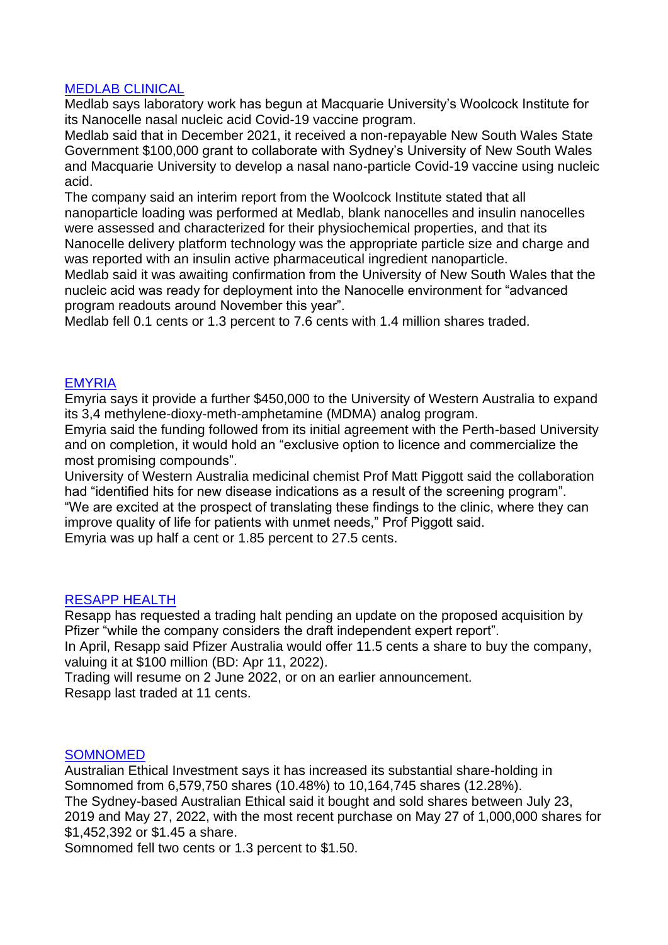## MEDLAB CLINICAL

Medlab says laboratory work has begun at Macquarie University's Woolcock Institute for its Nanocelle nasal nucleic acid Covid-19 vaccine program.

Medlab said that in December 2021, it received a non-repayable New South Wales State Government \$100,000 grant to collaborate with Sydney's University of New South Wales and Macquarie University to develop a nasal nano-particle Covid-19 vaccine using nucleic acid.

The company said an interim report from the Woolcock Institute stated that all nanoparticle loading was performed at Medlab, blank nanocelles and insulin nanocelles were assessed and characterized for their physiochemical properties, and that its Nanocelle delivery platform technology was the appropriate particle size and charge and was reported with an insulin active pharmaceutical ingredient nanoparticle.

Medlab said it was awaiting confirmation from the University of New South Wales that the nucleic acid was ready for deployment into the Nanocelle environment for "advanced program readouts around November this year".

Medlab fell 0.1 cents or 1.3 percent to 7.6 cents with 1.4 million shares traded.

## EMYRIA

Emyria says it provide a further \$450,000 to the University of Western Australia to expand its 3,4 methylene-dioxy-meth-amphetamine (MDMA) analog program.

Emyria said the funding followed from its initial agreement with the Perth-based University and on completion, it would hold an "exclusive option to licence and commercialize the most promising compounds".

University of Western Australia medicinal chemist Prof Matt Piggott said the collaboration had "identified hits for new disease indications as a result of the screening program". "We are excited at the prospect of translating these findings to the clinic, where they can improve quality of life for patients with unmet needs," Prof Piggott said.

Emyria was up half a cent or 1.85 percent to 27.5 cents.

#### RESAPP HEALTH

Resapp has requested a trading halt pending an update on the proposed acquisition by Pfizer "while the company considers the draft independent expert report".

In April, Resapp said Pfizer Australia would offer 11.5 cents a share to buy the company, valuing it at \$100 million (BD: Apr 11, 2022).

Trading will resume on 2 June 2022, or on an earlier announcement. Resapp last traded at 11 cents.

#### SOMNOMED

Australian Ethical Investment says it has increased its substantial share-holding in Somnomed from 6,579,750 shares (10.48%) to 10,164,745 shares (12.28%). The Sydney-based Australian Ethical said it bought and sold shares between July 23, 2019 and May 27, 2022, with the most recent purchase on May 27 of 1,000,000 shares for \$1,452,392 or \$1.45 a share.

Somnomed fell two cents or 1.3 percent to \$1.50.